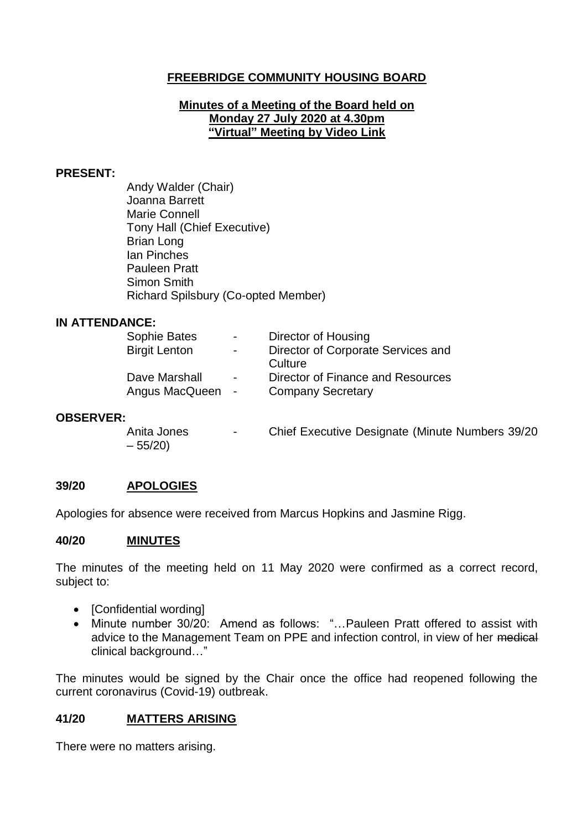# **FREEBRIDGE COMMUNITY HOUSING BOARD**

#### **Minutes of a Meeting of the Board held on Monday 27 July 2020 at 4.30pm "Virtual" Meeting by Video Link**

#### **PRESENT:**

Andy Walder (Chair) Joanna Barrett Marie Connell Tony Hall (Chief Executive) Brian Long Ian Pinches Pauleen Pratt Simon Smith Richard Spilsbury (Co-opted Member)

#### **IN ATTENDANCE:**

| Sophie Bates         | $\sim$         | Director of Housing                |
|----------------------|----------------|------------------------------------|
| <b>Birgit Lenton</b> | $\blacksquare$ | Director of Corporate Services and |
|                      |                | Culture                            |
| Dave Marshall        | $\blacksquare$ | Director of Finance and Resources  |
| Angus MacQueen       |                | <b>Company Secretary</b>           |
|                      |                |                                    |

### **OBSERVER:**

Anita Jones - Chief Executive Designate (Minute Numbers 39/20  $-55/20$ 

### **39/20 APOLOGIES**

Apologies for absence were received from Marcus Hopkins and Jasmine Rigg.

#### **40/20 MINUTES**

The minutes of the meeting held on 11 May 2020 were confirmed as a correct record, subject to:

- [Confidential wording]
- Minute number 30/20: Amend as follows: "…Pauleen Pratt offered to assist with advice to the Management Team on PPE and infection control, in view of her medical clinical background…"

The minutes would be signed by the Chair once the office had reopened following the current coronavirus (Covid-19) outbreak.

### **41/20 MATTERS ARISING**

There were no matters arising.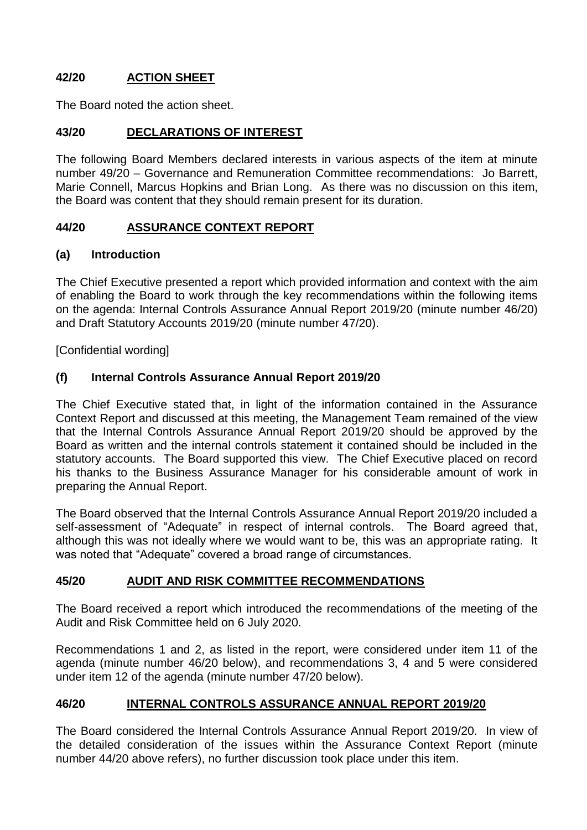# **42/20 ACTION SHEET**

The Board noted the action sheet.

# **43/20 DECLARATIONS OF INTEREST**

The following Board Members declared interests in various aspects of the item at minute number 49/20 – Governance and Remuneration Committee recommendations: Jo Barrett, Marie Connell, Marcus Hopkins and Brian Long. As there was no discussion on this item, the Board was content that they should remain present for its duration.

## **44/20 ASSURANCE CONTEXT REPORT**

### **(a) Introduction**

The Chief Executive presented a report which provided information and context with the aim of enabling the Board to work through the key recommendations within the following items on the agenda: Internal Controls Assurance Annual Report 2019/20 (minute number 46/20) and Draft Statutory Accounts 2019/20 (minute number 47/20).

[Confidential wording]

# **(f) Internal Controls Assurance Annual Report 2019/20**

The Chief Executive stated that, in light of the information contained in the Assurance Context Report and discussed at this meeting, the Management Team remained of the view that the Internal Controls Assurance Annual Report 2019/20 should be approved by the Board as written and the internal controls statement it contained should be included in the statutory accounts. The Board supported this view. The Chief Executive placed on record his thanks to the Business Assurance Manager for his considerable amount of work in preparing the Annual Report.

The Board observed that the Internal Controls Assurance Annual Report 2019/20 included a self-assessment of "Adequate" in respect of internal controls. The Board agreed that, although this was not ideally where we would want to be, this was an appropriate rating. It was noted that "Adequate" covered a broad range of circumstances.

## **45/20 AUDIT AND RISK COMMITTEE RECOMMENDATIONS**

The Board received a report which introduced the recommendations of the meeting of the Audit and Risk Committee held on 6 July 2020.

Recommendations 1 and 2, as listed in the report, were considered under item 11 of the agenda (minute number 46/20 below), and recommendations 3, 4 and 5 were considered under item 12 of the agenda (minute number 47/20 below).

## **46/20 INTERNAL CONTROLS ASSURANCE ANNUAL REPORT 2019/20**

The Board considered the Internal Controls Assurance Annual Report 2019/20. In view of the detailed consideration of the issues within the Assurance Context Report (minute number 44/20 above refers), no further discussion took place under this item.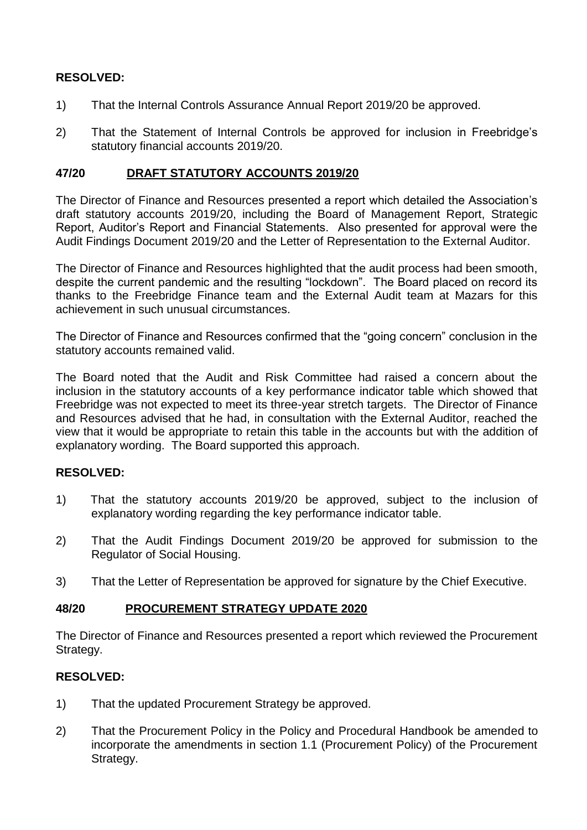### **RESOLVED:**

- 1) That the Internal Controls Assurance Annual Report 2019/20 be approved.
- 2) That the Statement of Internal Controls be approved for inclusion in Freebridge's statutory financial accounts 2019/20.

#### **47/20 DRAFT STATUTORY ACCOUNTS 2019/20**

The Director of Finance and Resources presented a report which detailed the Association's draft statutory accounts 2019/20, including the Board of Management Report, Strategic Report, Auditor's Report and Financial Statements. Also presented for approval were the Audit Findings Document 2019/20 and the Letter of Representation to the External Auditor.

The Director of Finance and Resources highlighted that the audit process had been smooth, despite the current pandemic and the resulting "lockdown". The Board placed on record its thanks to the Freebridge Finance team and the External Audit team at Mazars for this achievement in such unusual circumstances.

The Director of Finance and Resources confirmed that the "going concern" conclusion in the statutory accounts remained valid.

The Board noted that the Audit and Risk Committee had raised a concern about the inclusion in the statutory accounts of a key performance indicator table which showed that Freebridge was not expected to meet its three-year stretch targets. The Director of Finance and Resources advised that he had, in consultation with the External Auditor, reached the view that it would be appropriate to retain this table in the accounts but with the addition of explanatory wording. The Board supported this approach.

### **RESOLVED:**

- 1) That the statutory accounts 2019/20 be approved, subject to the inclusion of explanatory wording regarding the key performance indicator table.
- 2) That the Audit Findings Document 2019/20 be approved for submission to the Regulator of Social Housing.
- 3) That the Letter of Representation be approved for signature by the Chief Executive.

### **48/20 PROCUREMENT STRATEGY UPDATE 2020**

The Director of Finance and Resources presented a report which reviewed the Procurement Strategy.

### **RESOLVED:**

- 1) That the updated Procurement Strategy be approved.
- 2) That the Procurement Policy in the Policy and Procedural Handbook be amended to incorporate the amendments in section 1.1 (Procurement Policy) of the Procurement Strategy.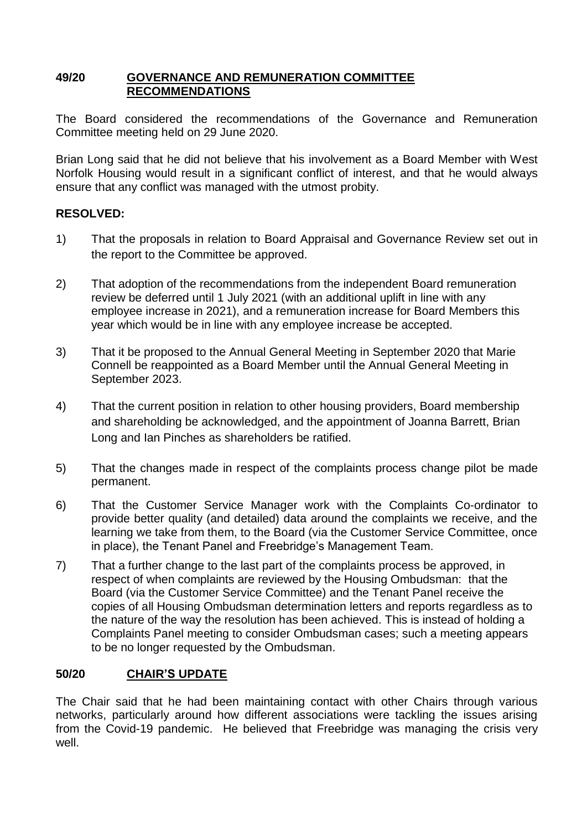### **49/20 GOVERNANCE AND REMUNERATION COMMITTEE RECOMMENDATIONS**

The Board considered the recommendations of the Governance and Remuneration Committee meeting held on 29 June 2020.

Brian Long said that he did not believe that his involvement as a Board Member with West Norfolk Housing would result in a significant conflict of interest, and that he would always ensure that any conflict was managed with the utmost probity.

## **RESOLVED:**

- 1) That the proposals in relation to Board Appraisal and Governance Review set out in the report to the Committee be approved.
- 2) That adoption of the recommendations from the independent Board remuneration review be deferred until 1 July 2021 (with an additional uplift in line with any employee increase in 2021), and a remuneration increase for Board Members this year which would be in line with any employee increase be accepted.
- 3) That it be proposed to the Annual General Meeting in September 2020 that Marie Connell be reappointed as a Board Member until the Annual General Meeting in September 2023.
- 4) That the current position in relation to other housing providers, Board membership and shareholding be acknowledged, and the appointment of Joanna Barrett, Brian Long and Ian Pinches as shareholders be ratified.
- 5) That the changes made in respect of the complaints process change pilot be made permanent.
- 6) That the Customer Service Manager work with the Complaints Co-ordinator to provide better quality (and detailed) data around the complaints we receive, and the learning we take from them, to the Board (via the Customer Service Committee, once in place), the Tenant Panel and Freebridge's Management Team.
- 7) That a further change to the last part of the complaints process be approved, in respect of when complaints are reviewed by the Housing Ombudsman: that the Board (via the Customer Service Committee) and the Tenant Panel receive the copies of all Housing Ombudsman determination letters and reports regardless as to the nature of the way the resolution has been achieved. This is instead of holding a Complaints Panel meeting to consider Ombudsman cases; such a meeting appears to be no longer requested by the Ombudsman.

# **50/20 CHAIR'S UPDATE**

The Chair said that he had been maintaining contact with other Chairs through various networks, particularly around how different associations were tackling the issues arising from the Covid-19 pandemic. He believed that Freebridge was managing the crisis very well.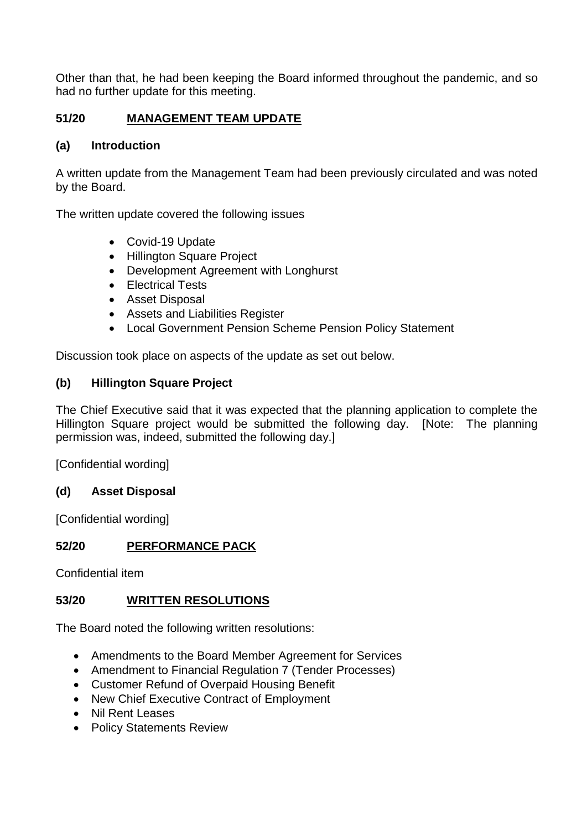Other than that, he had been keeping the Board informed throughout the pandemic, and so had no further update for this meeting.

# **51/20 MANAGEMENT TEAM UPDATE**

### **(a) Introduction**

A written update from the Management Team had been previously circulated and was noted by the Board.

The written update covered the following issues

- Covid-19 Update
- Hillington Square Project
- Development Agreement with Longhurst
- Electrical Tests
- Asset Disposal
- Assets and Liabilities Register
- Local Government Pension Scheme Pension Policy Statement

Discussion took place on aspects of the update as set out below.

### **(b) Hillington Square Project**

The Chief Executive said that it was expected that the planning application to complete the Hillington Square project would be submitted the following day. [Note: The planning permission was, indeed, submitted the following day.]

[Confidential wording]

### **(d) Asset Disposal**

[Confidential wording]

## **52/20 PERFORMANCE PACK**

Confidential item

### **53/20 WRITTEN RESOLUTIONS**

The Board noted the following written resolutions:

- Amendments to the Board Member Agreement for Services
- Amendment to Financial Regulation 7 (Tender Processes)
- Customer Refund of Overpaid Housing Benefit
- New Chief Executive Contract of Employment
- Nil Rent Leases
- Policy Statements Review